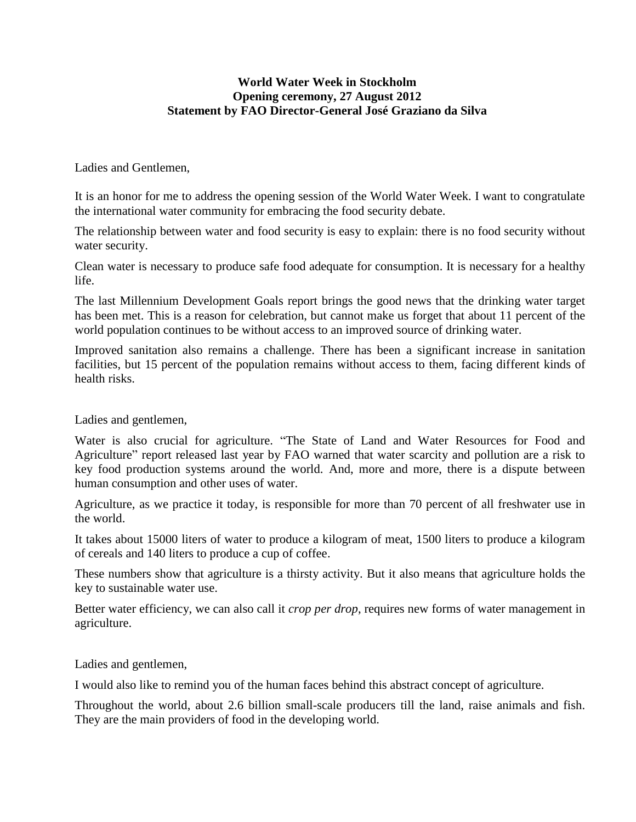## **World Water Week in Stockholm Opening ceremony, 27 August 2012 Statement by FAO Director-General José Graziano da Silva**

Ladies and Gentlemen,

It is an honor for me to address the opening session of the World Water Week. I want to congratulate the international water community for embracing the food security debate.

The relationship between water and food security is easy to explain: there is no food security without water security.

Clean water is necessary to produce safe food adequate for consumption. It is necessary for a healthy life.

The last Millennium Development Goals report brings the good news that the drinking water target has been met. This is a reason for celebration, but cannot make us forget that about 11 percent of the world population continues to be without access to an improved source of drinking water.

Improved sanitation also remains a challenge. There has been a significant increase in sanitation facilities, but 15 percent of the population remains without access to them, facing different kinds of health risks.

Ladies and gentlemen,

Water is also crucial for agriculture. "The State of Land and Water Resources for Food and Agriculture" report released last year by FAO warned that water scarcity and pollution are a risk to key food production systems around the world. And, more and more, there is a dispute between human consumption and other uses of water.

Agriculture, as we practice it today, is responsible for more than 70 percent of all freshwater use in the world.

It takes about 15000 liters of water to produce a kilogram of meat, 1500 liters to produce a kilogram of cereals and 140 liters to produce a cup of coffee.

These numbers show that agriculture is a thirsty activity. But it also means that agriculture holds the key to sustainable water use.

Better water efficiency, we can also call it *crop per drop*, requires new forms of water management in agriculture.

Ladies and gentlemen,

I would also like to remind you of the human faces behind this abstract concept of agriculture.

Throughout the world, about 2.6 billion small-scale producers till the land, raise animals and fish. They are the main providers of food in the developing world.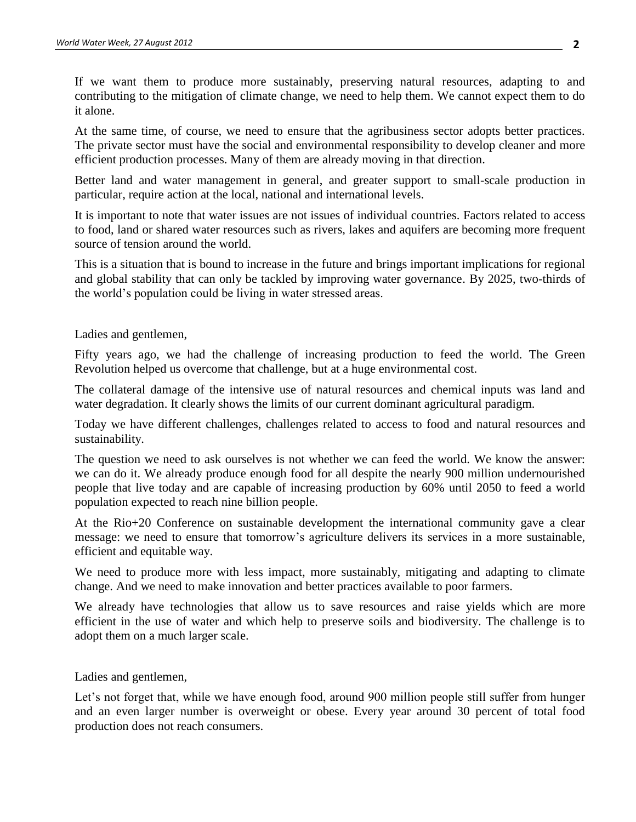If we want them to produce more sustainably, preserving natural resources, adapting to and contributing to the mitigation of climate change, we need to help them. We cannot expect them to do it alone.

At the same time, of course, we need to ensure that the agribusiness sector adopts better practices. The private sector must have the social and environmental responsibility to develop cleaner and more efficient production processes. Many of them are already moving in that direction.

Better land and water management in general, and greater support to small-scale production in particular, require action at the local, national and international levels.

It is important to note that water issues are not issues of individual countries. Factors related to access to food, land or shared water resources such as rivers, lakes and aquifers are becoming more frequent source of tension around the world.

This is a situation that is bound to increase in the future and brings important implications for regional and global stability that can only be tackled by improving water governance. By 2025, two-thirds of the world's population could be living in water stressed areas.

Ladies and gentlemen,

Fifty years ago, we had the challenge of increasing production to feed the world. The Green Revolution helped us overcome that challenge, but at a huge environmental cost.

The collateral damage of the intensive use of natural resources and chemical inputs was land and water degradation. It clearly shows the limits of our current dominant agricultural paradigm.

Today we have different challenges, challenges related to access to food and natural resources and sustainability.

The question we need to ask ourselves is not whether we can feed the world. We know the answer: we can do it. We already produce enough food for all despite the nearly 900 million undernourished people that live today and are capable of increasing production by 60% until 2050 to feed a world population expected to reach nine billion people.

At the Rio+20 Conference on sustainable development the international community gave a clear message: we need to ensure that tomorrow's agriculture delivers its services in a more sustainable, efficient and equitable way.

We need to produce more with less impact, more sustainably, mitigating and adapting to climate change. And we need to make innovation and better practices available to poor farmers.

We already have technologies that allow us to save resources and raise yields which are more efficient in the use of water and which help to preserve soils and biodiversity. The challenge is to adopt them on a much larger scale.

Ladies and gentlemen,

Let's not forget that, while we have enough food, around 900 million people still suffer from hunger and an even larger number is overweight or obese. Every year around 30 percent of total food production does not reach consumers.